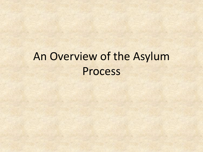# An Overview of the Asylum Process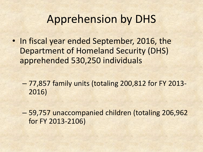#### Apprehension by DHS

- In fiscal year ended September, 2016, the Department of Homeland Security (DHS) apprehended 530,250 individuals
	- 77,857 family units (totaling 200,812 for FY 2013- 2016)
	- 59,757 unaccompanied children (totaling 206,962 for FY 2013-2106)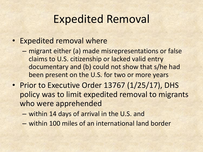#### Expedited Removal

- Expedited removal where
	- migrant either (a) made misrepresentations or false claims to U.S. citizenship or lacked valid entry documentary and (b) could not show that s/he had been present on the U.S. for two or more years
- Prior to Executive Order 13767 (1/25/17), DHS policy was to limit expedited removal to migrants who were apprehended
	- within 14 days of arrival in the U.S. and
	- within 100 miles of an international land border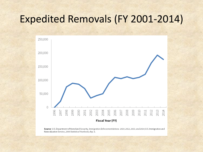#### Expedited Removals (FY 2001-2014)



Source: U.S. Department of Homeland Security, Immigration Enforcement Actions: 2010, 2012, 2013, and 2014; U.S. Immigration and Naturalization Service, 2000 Statistical Yearbook, chp. 6.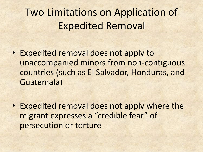### Two Limitations on Application of Expedited Removal

- Expedited removal does not apply to unaccompanied minors from non-contiguous countries (such as El Salvador, Honduras, and Guatemala)
- Expedited removal does not apply where the migrant expresses a "credible fear" of persecution or torture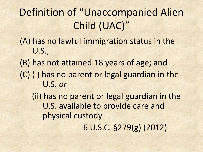## Definition of "Unaccompanied Alien Child (UAC)"

#### (A) has no lawful immigration status in the U.S.;

(B) has not attained 18 years of age; and (C) (i) has no parent or legal guardian in the U.S. *or*

(ii) has no parent or legal guardian in the U.S. available to provide care and physical custody

6 U.S.C. §279(g) (2012)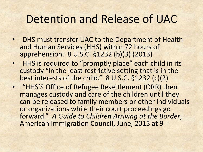### Detention and Release of UAC

- DHS must transfer UAC to the Department of Health and Human Services (HHS) within 72 hours of apprehension. 8 U.S.C. §1232 (b)(3) (2013)
- HHS is required to "promptly place" each child in its custody "in the least restrictive setting that is in the best interests of the child." 8 U.S.C. §1232 (c)(2)
- "HHS'S Office of Refugee Resettlement (ORR) then manages custody and care of the children until they can be released to family members or other individuals or organizations while their court proceedings go forward." *A Guide to Children Arriving at the Border*, American Immigration Council, June, 2015 at 9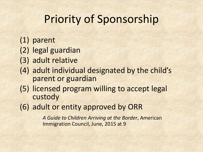## Priority of Sponsorship

- (1) parent
- (2) legal guardian
- (3) adult relative
- (4) adult individual designated by the child's parent or guardian
- (5) licensed program willing to accept legal custody
- (6) adult or entity approved by ORR

*A Guide to Children Arriving at the Border*, American Immigration Council, June, 2015 at 9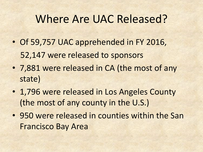#### Where Are UAC Released?

- Of 59,757 UAC apprehended in FY 2016, 52,147 were released to sponsors
- 7,881 were released in CA (the most of any state)
- 1,796 were released in Los Angeles County (the most of any county in the U.S.)
- 950 were released in counties within the San Francisco Bay Area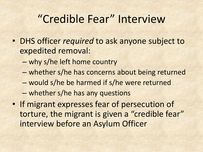### "Credible Fear" Interview

- DHS officer *required* to ask anyone subject to expedited removal:
	- why s/he left home country
	- whether s/he has concerns about being returned
	- would s/he be harmed if s/he were returned
	- whether s/he has any questions
- If migrant expresses fear of persecution of torture, the migrant is given a "credible fear" interview before an Asylum Officer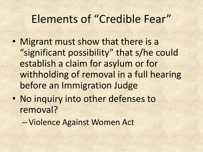### Elements of "Credible Fear"

- Migrant must show that there is a "significant possibility" that s/he could establish a claim for asylum or for withholding of removal in a full hearing before an Immigration Judge
- No inquiry into other defenses to removal?
	- Violence Against Women Act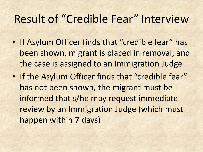#### Result of "Credible Fear" Interview

- If Asylum Officer finds that "credible fear" has been shown, migrant is placed in removal, and the case is assigned to an Immigration Judge
- If the Asylum Officer finds that "credible fear" has not been shown, the migrant must be informed that s/he may request immediate review by an Immigration Judge (which must happen within 7 days)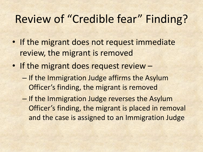### Review of "Credible fear" Finding?

- If the migrant does not request immediate review, the migrant is removed
- If the migrant does request review
	- If the Immigration Judge affirms the Asylum Officer's finding, the migrant is removed
	- If the Immigration Judge reverses the Asylum Officer's finding, the migrant is placed in removal and the case is assigned to an Immigration Judge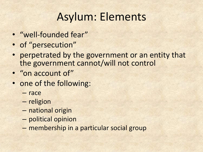### Asylum: Elements

- "well-founded fear"
- of "persecution"
- perpetrated by the government or an entity that the government cannot/will not control
- "on account of"
- one of the following:
	- race
	- religion
	- national origin
	- political opinion
	- membership in a particular social group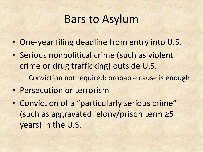### Bars to Asylum

- One-year filing deadline from entry into U.S.
- Serious nonpolitical crime (such as violent crime or drug trafficking) outside U.S.
	- Conviction not required: probable cause is enough
- Persecution or terrorism
- Conviction of a "particularly serious crime" (such as aggravated felony/prison term ≥5 years) in the U.S.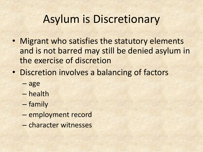### Asylum is Discretionary

- Migrant who satisfies the statutory elements and is not barred may still be denied asylum in the exercise of discretion
- Discretion involves a balancing of factors
	- age
	- health
	- family
	- employment record
	- character witnesses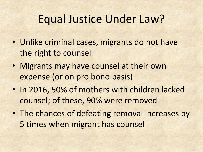### Equal Justice Under Law?

- Unlike criminal cases, migrants do not have the right to counsel
- Migrants may have counsel at their own expense (or on pro bono basis)
- In 2016, 50% of mothers with children lacked counsel; of these, 90% were removed
- The chances of defeating removal increases by 5 times when migrant has counsel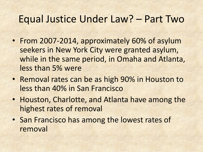#### Equal Justice Under Law? – Part Two

- From 2007-2014, approximately 60% of asylum seekers in New York City were granted asylum, while in the same period, in Omaha and Atlanta, less than 5% were
- Removal rates can be as high 90% in Houston to less than 40% in San Francisco
- Houston, Charlotte, and Atlanta have among the highest rates of removal
- San Francisco has among the lowest rates of removal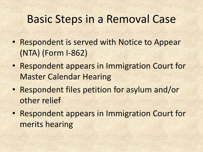#### Basic Steps in a Removal Case

- Respondent is served with Notice to Appear (NTA) (Form I-862)
- Respondent appears in Immigration Court for Master Calendar Hearing
- Respondent files petition for asylum and/or other relief
- Respondent appears in Immigration Court for merits hearing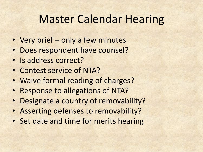### Master Calendar Hearing

- Very brief only a few minutes
- Does respondent have counsel?
- Is address correct?
- Contest service of NTA?
- Waive formal reading of charges?
- Response to allegations of NTA?
- Designate a country of removability?
- Asserting defenses to removability?
- Set date and time for merits hearing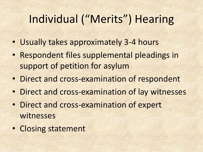### Individual ("Merits") Hearing

- Usually takes approximately 3-4 hours
- Respondent files supplemental pleadings in support of petition for asylum
- Direct and cross-examination of respondent
- Direct and cross-examination of lay witnesses
- Direct and cross-examination of expert witnesses
- Closing statement